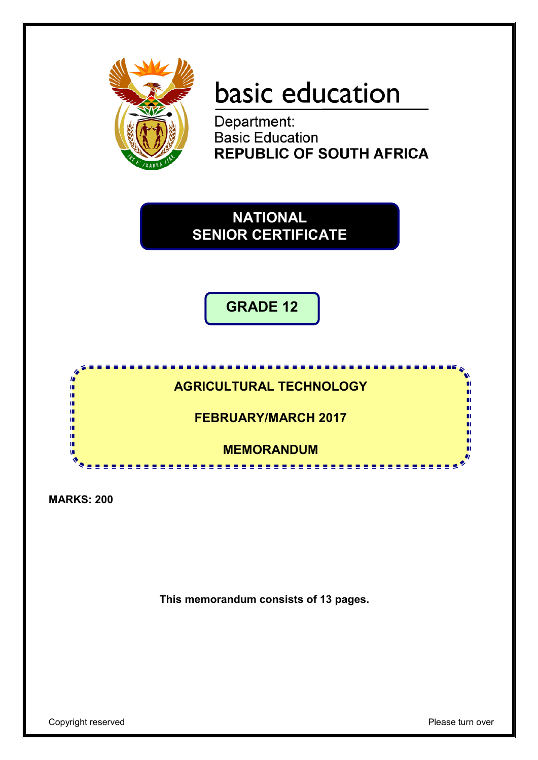

# basic education

Department:<br>Basic Education **REPUBLIC OF SOUTH AFRICA** 

**NATIONAL SENIOR CERTIFICATE**

**GRADE 12**



**MARKS: 200**

**This memorandum consists of 13 pages.**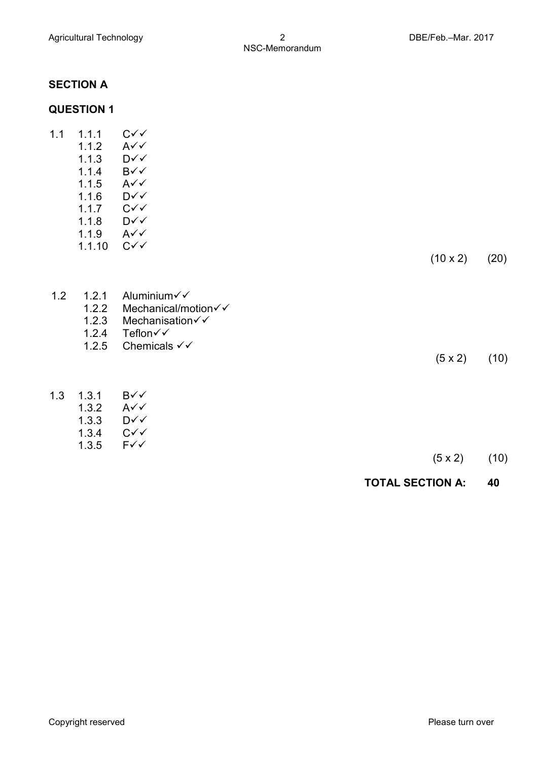# **SECTION A**

# **QUESTION 1**

| 1.1 | 1.1.1<br>1.1.2<br>1.1.3<br>1.1.4<br>1.1.5<br>1.1.6<br>1.1.7<br>1.1.8<br>1.1.9 | $C\checkmark\checkmark$<br>$A\checkmark$<br>D√√<br>B√√<br>$A\checkmark$<br>D√√<br>$C\checkmark$<br>D√√<br>$A\checkmark$ |                 |      |
|-----|-------------------------------------------------------------------------------|-------------------------------------------------------------------------------------------------------------------------|-----------------|------|
|     | 1.1.10                                                                        | $C\checkmark$                                                                                                           | $(10 \times 2)$ | (20) |
| 1.2 | 1.2.1<br>1.2.2<br>1.2.3<br>1.2.4<br>1.2.5                                     | Aluminium√√<br>Mechanical/motion√√<br>Mechanisation√√<br>Teflon√√<br>Chemicals $\checkmark\checkmark$                   | $(5 \times 2)$  | (10) |
| 1.3 | 1.3.1<br>1.3.2<br>1.3.3<br>1.3.4<br>1.3.5                                     | B√√<br>$A\checkmark$<br>D√√<br>$C\checkmark$<br>$F\checkmark$                                                           | $(5 \times 2)$  | (10) |

# **TOTAL SECTION A: 40**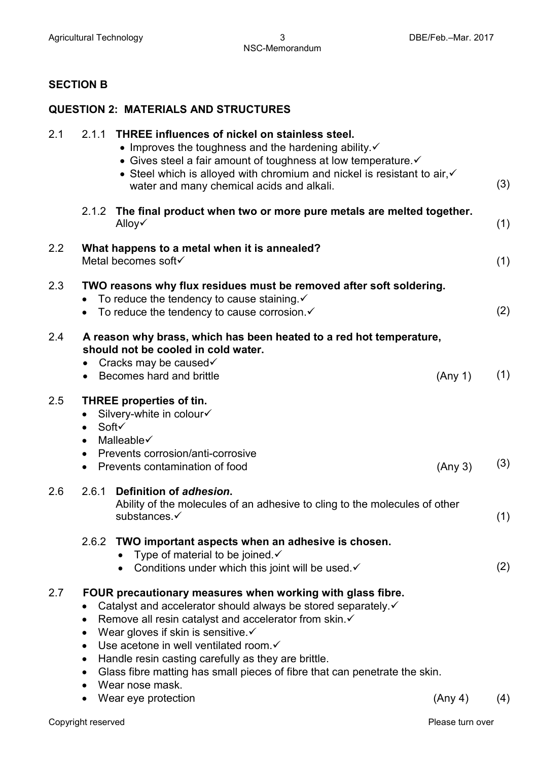#### **SECTION B**

# **QUESTION 2: MATERIALS AND STRUCTURES**

| 2.1           | 2.1.1 THREE influences of nickel on stainless steel.<br>$\bullet$ Improves the toughness and the hardening ability. $\checkmark$<br>• Gives steel a fair amount of toughness at low temperature.<br>• Steel which is alloyed with chromium and nickel is resistant to air, $\checkmark$<br>water and many chemical acids and alkali.                                                                                                                                                                                  |         | (3) |
|---------------|-----------------------------------------------------------------------------------------------------------------------------------------------------------------------------------------------------------------------------------------------------------------------------------------------------------------------------------------------------------------------------------------------------------------------------------------------------------------------------------------------------------------------|---------|-----|
|               | The final product when two or more pure metals are melted together.<br>2.1.2<br>Alloy√                                                                                                                                                                                                                                                                                                                                                                                                                                |         | (1) |
| $2.2^{\circ}$ | What happens to a metal when it is annealed?<br>Metal becomes soft√                                                                                                                                                                                                                                                                                                                                                                                                                                                   |         | (1) |
| 2.3           | TWO reasons why flux residues must be removed after soft soldering.<br>To reduce the tendency to cause staining $\checkmark$<br>$\bullet$<br>To reduce the tendency to cause corrosion.√                                                                                                                                                                                                                                                                                                                              |         | (2) |
| 2.4           | A reason why brass, which has been heated to a red hot temperature,<br>should not be cooled in cold water.<br>Cracks may be caused√<br>$\bullet$<br>• Becomes hard and brittle                                                                                                                                                                                                                                                                                                                                        | (Any 1) | (1) |
| 2.5           | <b>THREE properties of tin.</b><br>Silvery-white in colour√<br>Soft√<br>$\bullet$<br>Malleable√<br>$\bullet$<br>Prevents corrosion/anti-corrosive<br>$\bullet$<br>Prevents contamination of food<br>$\bullet$                                                                                                                                                                                                                                                                                                         | (Any 3) | (3) |
| 2.6           | 2.6.1 Definition of adhesion.<br>Ability of the molecules of an adhesive to cling to the molecules of other<br>substances.√                                                                                                                                                                                                                                                                                                                                                                                           |         | (1) |
|               | 2.6.2 TWO important aspects when an adhesive is chosen.<br>Type of material to be joined $\checkmark$<br>• Conditions under which this joint will be used $\checkmark$                                                                                                                                                                                                                                                                                                                                                |         | (2) |
| 2.7           | FOUR precautionary measures when working with glass fibre.<br>Catalyst and accelerator should always be stored separately.<br>Remove all resin catalyst and accelerator from skin. ✓<br>$\bullet$<br>Wear gloves if skin is sensitive. ✓<br>$\bullet$<br>Use acetone in well ventilated room. ✓<br>$\bullet$<br>Handle resin casting carefully as they are brittle.<br>$\bullet$<br>Glass fibre matting has small pieces of fibre that can penetrate the skin.<br>$\bullet$<br>Wear nose mask.<br>Wear eye protection | (Any 4) | (4) |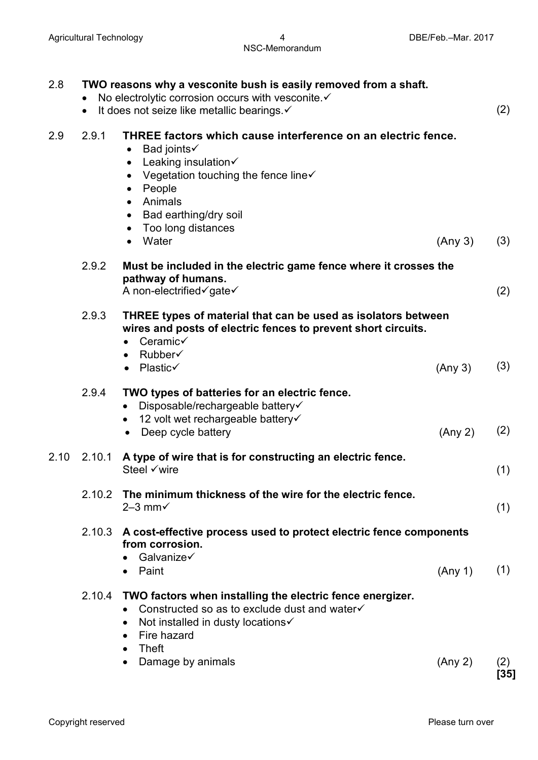# NSC-Memorandum

| 2.8  | $\bullet$ | TWO reasons why a vesconite bush is easily removed from a shaft.<br>No electrolytic corrosion occurs with vesconite. ✓<br>It does not seize like metallic bearings. ✓                                                                                                                                                                      |         | (2)         |
|------|-----------|--------------------------------------------------------------------------------------------------------------------------------------------------------------------------------------------------------------------------------------------------------------------------------------------------------------------------------------------|---------|-------------|
| 2.9  | 2.9.1     | THREE factors which cause interference on an electric fence.<br>Bad joints√<br>$\bullet$<br>Leaking insulation√<br>$\bullet$<br>Vegetation touching the fence line $\checkmark$<br>$\bullet$<br>People<br>$\bullet$<br>Animals<br>$\bullet$<br>Bad earthing/dry soil<br>$\bullet$<br>Too long distances<br>$\bullet$<br>Water<br>$\bullet$ | (Any 3) | (3)         |
|      | 2.9.2     | Must be included in the electric game fence where it crosses the<br>pathway of humans.<br>A non-electrified√gate√                                                                                                                                                                                                                          |         | (2)         |
|      | 2.9.3     | THREE types of material that can be used as isolators between<br>wires and posts of electric fences to prevent short circuits.<br>Ceramic√<br>$\bullet$<br>Rubber√<br>Plastic√<br>$\bullet$                                                                                                                                                | (Any 3) | (3)         |
|      | 2.9.4     | TWO types of batteries for an electric fence.<br>Disposable/rechargeable battery√<br>$\bullet$<br>12 volt wet rechargeable battery√<br>$\bullet$<br>Deep cycle battery<br>$\bullet$                                                                                                                                                        | (Any 2) | (2)         |
| 2.10 | 2.10.1    | A type of wire that is for constructing an electric fence.<br>Steel √wire                                                                                                                                                                                                                                                                  |         | (1)         |
|      |           | 2.10.2 The minimum thickness of the wire for the electric fence.<br>$2-3$ mm $\checkmark$                                                                                                                                                                                                                                                  |         | (1)         |
|      |           | 2.10.3 A cost-effective process used to protect electric fence components<br>from corrosion.<br>Galvanize $\checkmark$                                                                                                                                                                                                                     |         |             |
|      | 2.10.4    | • Paint<br>TWO factors when installing the electric fence energizer.<br>Constructed so as to exclude dust and water√<br>$\bullet$<br>Not installed in dusty locations√<br>$\bullet$<br>Fire hazard<br>$\bullet$<br>Theft<br>$\bullet$                                                                                                      | (Any 1) | (1)         |
|      |           | Damage by animals<br>$\bullet$                                                                                                                                                                                                                                                                                                             | (Any 2) | (2)<br>[35] |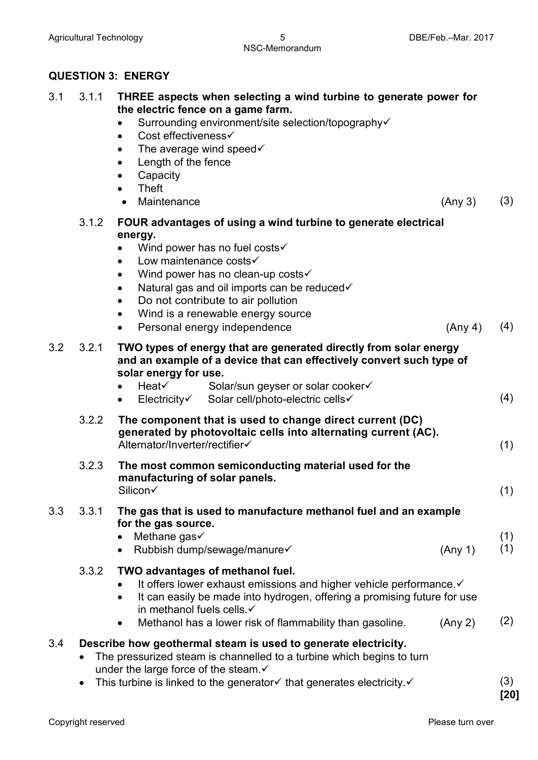#### **QUESTION 3: ENERGY**

|  | 3.1 3.1.1 THREE aspects when selecting a wind turbine to generate power for |
|--|-----------------------------------------------------------------------------|
|  | the electric fence on a game farm.                                          |

- Surrounding environment/site selection/topography
- Cost effectiveness $\checkmark$
- The average wind speed $\checkmark$
- Length of the fence
- **Capacity**
- Theft
- Maintenance (Any 3) (3)
- 3.1.2 **FOUR advantages of using a wind turbine to generate electrical energy.**
	- Wind power has no fuel costs $\checkmark$
	- Low maintenance costs $\checkmark$
	- Wind power has no clean-up costs $\checkmark$
	- Natural gas and oil imports can be reduced $\checkmark$
	- Do not contribute to air pollution
	- Wind is a renewable energy source
	- Personal energy independence (Any 4) (4)
- 3.2 3.2.1 **TWO types of energy that are generated directly from solar energy and an example of a device that can effectively convert such type of solar energy for use.**

|       | • Heat $\checkmark$<br>$\bullet$ Electricity | Solar/sun geyser or solar cooker√<br>Solar cell/photo-electric cells√                                                      | (4) |
|-------|----------------------------------------------|----------------------------------------------------------------------------------------------------------------------------|-----|
| 3.2.2 |                                              | The component that is used to change direct current (DC)<br>generated by photovoltaic cells into alternating current (AC). |     |

Alternator/Inverter/rectifier  $(1)$ 

3.2.3 **The most common semiconducting material used for the**  manufacturing of solar panels.<br>Silicon√  $\mathsf{Silicon}\checkmark$  (1)

#### 3.3 3.3.1 **The gas that is used to manufacture methanol fuel and an example for the gas source.**

- Methane gas $\checkmark$
- $\mathsf{Rubbish}\ \mathsf{dump}/\mathsf{sewaa}$ ge/manure  $\checkmark$  (Any 1) (1)
- 3.3.2 **TWO advantages of methanol fuel.**
	- $\bullet$  It offers lower exhaust emissions and higher vehicle performance. $\checkmark$ 
		- It can easily be made into hydrogen, offering a promising future for use in methanol fuels cells.
		- Methanol has a lower risk of flammability than gasoline.  $(Any 2)$   $(2)$

# 3.4 **Describe how geothermal steam is used to generate electricity.**

- The pressurized steam is channelled to a turbine which begins to turn under the large force of the steam. $\checkmark$
- This turbine is linked to the generator  $\checkmark$  that generates electricity.  $\checkmark$  (3)

(1)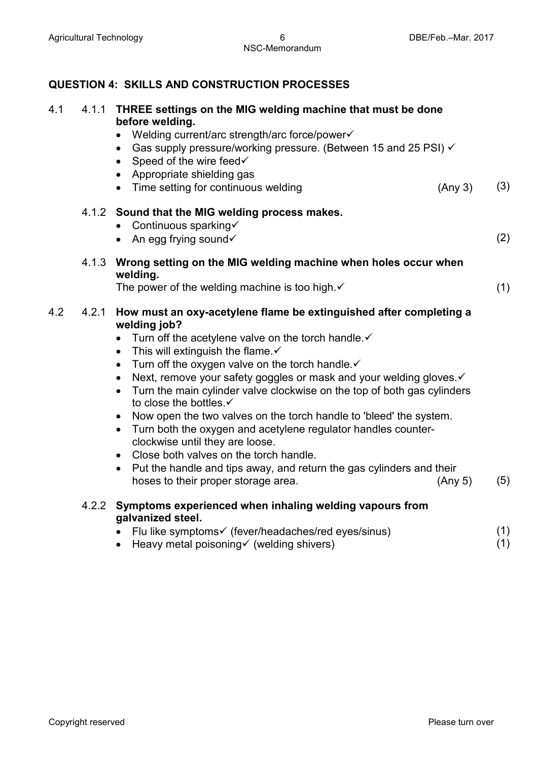# **QUESTION 4: SKILLS AND CONSTRUCTION PROCESSES**

| 4.1 | 4.1.1 | THREE settings on the MIG welding machine that must be done<br>before welding.<br>Welding current/arc strength/arc force/power√<br>• Gas supply pressure/working pressure. (Between 15 and 25 PSI) $\checkmark$<br>• Speed of the wire feed $\checkmark$<br>• Appropriate shielding gas<br>• Time setting for continuous welding<br>(Any 3)                                                                                                                                                                                                                                                                                                                                                                                                                                                                                                                                                 | (3)        |
|-----|-------|---------------------------------------------------------------------------------------------------------------------------------------------------------------------------------------------------------------------------------------------------------------------------------------------------------------------------------------------------------------------------------------------------------------------------------------------------------------------------------------------------------------------------------------------------------------------------------------------------------------------------------------------------------------------------------------------------------------------------------------------------------------------------------------------------------------------------------------------------------------------------------------------|------------|
|     |       | 4.1.2 Sound that the MIG welding process makes.<br>• Continuous sparking<br>• An egg frying sound $\checkmark$                                                                                                                                                                                                                                                                                                                                                                                                                                                                                                                                                                                                                                                                                                                                                                              | (2)        |
|     | 4.1.3 | Wrong setting on the MIG welding machine when holes occur when<br>welding.<br>The power of the welding machine is too high. $\checkmark$                                                                                                                                                                                                                                                                                                                                                                                                                                                                                                                                                                                                                                                                                                                                                    | (1)        |
| 4.2 | 4.2.1 | How must an oxy-acetylene flame be extinguished after completing a<br>welding job?<br>Turn off the acetylene valve on the torch handle.√<br>$\bullet$<br>This will extinguish the flame. $\checkmark$<br>$\bullet$<br>Turn off the oxygen valve on the torch handle. $\checkmark$<br>$\bullet$<br>Next, remove your safety goggles or mask and your welding gloves. v<br>$\bullet$<br>Turn the main cylinder valve clockwise on the top of both gas cylinders<br>$\bullet$<br>to close the bottles.√<br>Now open the two valves on the torch handle to 'bleed' the system.<br>$\bullet$<br>Turn both the oxygen and acetylene regulator handles counter-<br>$\bullet$<br>clockwise until they are loose.<br>• Close both valves on the torch handle.<br>Put the handle and tips away, and return the gas cylinders and their<br>$\bullet$<br>hoses to their proper storage area.<br>(Any 5) | (5)        |
|     |       | 4.2.2 Symptoms experienced when inhaling welding vapours from<br>galvanized steel.                                                                                                                                                                                                                                                                                                                                                                                                                                                                                                                                                                                                                                                                                                                                                                                                          |            |
|     |       | Flu like symptoms√ (fever/headaches/red eyes/sinus)<br>• Heavy metal poisoning $\checkmark$ (welding shivers)                                                                                                                                                                                                                                                                                                                                                                                                                                                                                                                                                                                                                                                                                                                                                                               | (1)<br>(1) |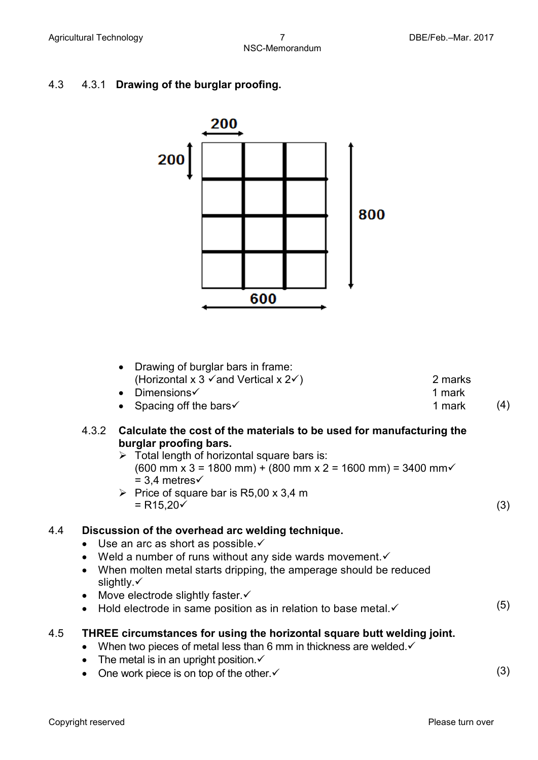# 4.3 4.3.1 **Drawing of the burglar proofing.**

|     | 200 |     |  |     |
|-----|-----|-----|--|-----|
| 200 |     |     |  |     |
|     |     |     |  | 800 |
|     |     |     |  |     |
|     |     |     |  |     |
|     |     | 600 |  |     |

|     |                                     | Drawing of burglar bars in frame:<br>$\bullet$<br>(Horizontal x 3 $\checkmark$ and Vertical x 2 $\checkmark$ )<br>Dimensions $\checkmark$<br>$\bullet$<br>• Spacing off the bars $\checkmark$                                                                                                                                                                                                   | 2 marks<br>1 mark<br>1 mark | (4) |
|-----|-------------------------------------|-------------------------------------------------------------------------------------------------------------------------------------------------------------------------------------------------------------------------------------------------------------------------------------------------------------------------------------------------------------------------------------------------|-----------------------------|-----|
|     | 4.3.2                               | Calculate the cost of the materials to be used for manufacturing the<br>burglar proofing bars.<br>$\triangleright$ Total length of horizontal square bars is:<br>$(600 \text{ mm} \times 3 = 1800 \text{ mm}) + (800 \text{ mm} \times 2 = 1600 \text{ mm}) = 3400 \text{ mm}$<br>$=$ 3.4 metres $\checkmark$<br>$\triangleright$ Price of square bar is R5,00 x 3,4 m<br>$= R15,20 \checkmark$ |                             | (3) |
| 4.4 | $\bullet$<br>$\bullet$<br>$\bullet$ | Discussion of the overhead arc welding technique.<br>Use an arc as short as possible. ✓<br>Weld a number of runs without any side wards movement. v<br>When molten metal starts dripping, the amperage should be reduced<br>slightly. $\checkmark$<br>Move electrode slightly faster. ✓<br>Hold electrode in same position as in relation to base metal.                                        |                             | (5) |
| 4.5 | $\bullet$<br>$\bullet$<br>$\bullet$ | THREE circumstances for using the horizontal square butt welding joint.<br>When two pieces of metal less than 6 mm in thickness are welded. $\checkmark$<br>The metal is in an upright position $\checkmark$<br>One work piece is on top of the other. ✓                                                                                                                                        |                             | (3) |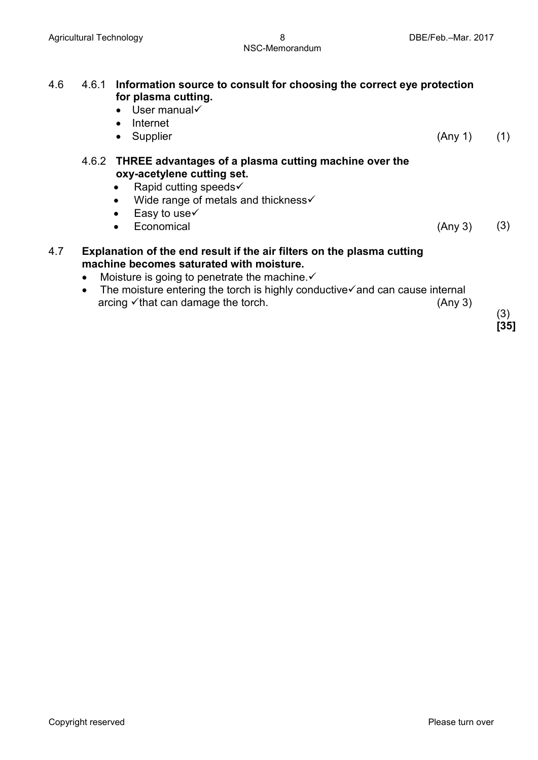| 4.6 | 4.6.1                  | Information source to consult for choosing the correct eye protection<br>for plasma cutting.<br>$\bullet$ User manual $\checkmark$<br>Internet<br>$\bullet$<br>Supplier<br>$\bullet$                                                                                                                                         | (Any 1) | (1)         |
|-----|------------------------|------------------------------------------------------------------------------------------------------------------------------------------------------------------------------------------------------------------------------------------------------------------------------------------------------------------------------|---------|-------------|
|     |                        | 4.6.2 THREE advantages of a plasma cutting machine over the<br>oxy-acetylene cutting set.<br>Rapid cutting speeds√<br>$\bullet$<br>Wide range of metals and thickness√<br>$\bullet$<br>Easy to use√<br>$\bullet$<br>Economical                                                                                               | (Any 3) | (3)         |
| 4.7 | $\bullet$<br>$\bullet$ | Explanation of the end result if the air filters on the plasma cutting<br>machine becomes saturated with moisture.<br>Moisture is going to penetrate the machine. $\checkmark$<br>The moisture entering the torch is highly conductive $\checkmark$ and can cause internal<br>arcing $\checkmark$ that can damage the torch. | (Any 3) | (3)<br>[35] |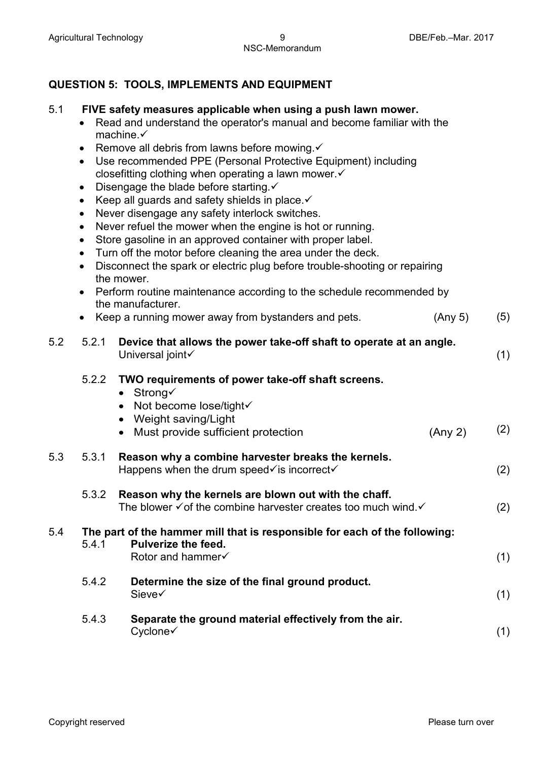# **QUESTION 5: TOOLS, IMPLEMENTS AND EQUIPMENT**

#### 5.1 **FIVE safety measures applicable when using a push lawn mower.**

- Read and understand the operator's manual and become familiar with the machine.
- Remove all debris from lawns before mowing. $\checkmark$
- Use recommended PPE (Personal Protective Equipment) including closefitting clothing when operating a lawn mower.
- Disengage the blade before starting. $\checkmark$
- Keep all guards and safety shields in place. $\checkmark$
- Never disengage any safety interlock switches.
- Never refuel the mower when the engine is hot or running.
- Store gasoline in an approved container with proper label.
- Turn off the motor before cleaning the area under the deck.
- Disconnect the spark or electric plug before trouble-shooting or repairing the mower.
- Perform routine maintenance according to the schedule recommended by the manufacturer.
- Keep a running mower away from bystanders and pets. (Any 5) (5)

| 5.2 | 5.2.1 | Device that allows the power take-off shaft to operate at an angle.<br>Universal joint√                                                                                      | (1) |
|-----|-------|------------------------------------------------------------------------------------------------------------------------------------------------------------------------------|-----|
|     | 5.2.2 | TWO requirements of power take-off shaft screens.<br>• Strong $\checkmark$<br>Not become lose/tight√<br>Weight saving/Light<br>Must provide sufficient protection<br>(Any 2) | (2) |
| 5.3 | 5.3.1 | Reason why a combine harvester breaks the kernels.<br>Happens when the drum speed $\checkmark$ is incorrect $\checkmark$                                                     | (2) |
|     | 5.3.2 | Reason why the kernels are blown out with the chaff.<br>The blower $\checkmark$ of the combine harvester creates too much wind. $\checkmark$                                 | (2) |
| 5.4 | 5.4.1 | The part of the hammer mill that is responsible for each of the following:<br><b>Pulverize the feed.</b><br>Rotor and hammer√                                                | (1) |
|     | 5.4.2 | Determine the size of the final ground product.<br>Sieve√                                                                                                                    | (1) |
|     | 5.4.3 | Separate the ground material effectively from the air.<br>Cyclone√                                                                                                           | (1) |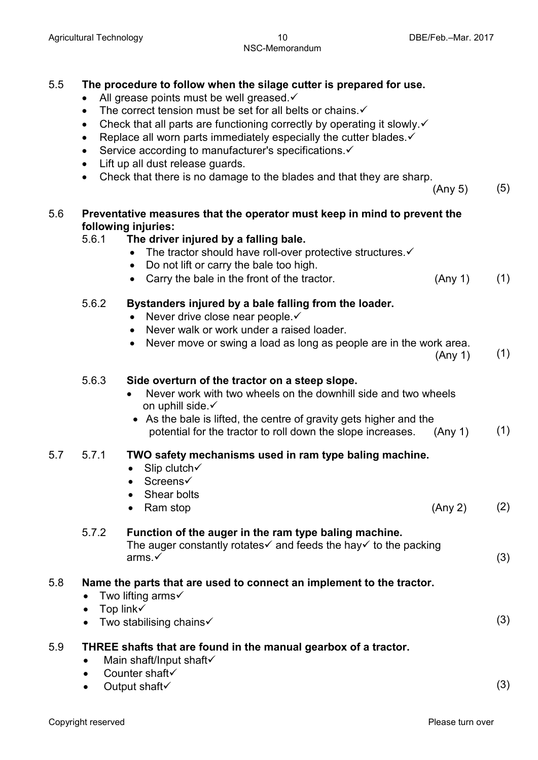#### 5.5 **The procedure to follow when the silage cutter is prepared for use.**

- All grease points must be well greased. $\checkmark$
- The correct tension must be set for all belts or chains. $\checkmark$
- Check that all parts are functioning correctly by operating it slowly. $\checkmark$
- Replace all worn parts immediately especially the cutter blades.  $\checkmark$
- Service according to manufacturer's specifications. $\checkmark$
- Lift up all dust release guards.
- Check that there is no damage to the blades and that they are sharp.

 $(\text{Any } 5)$  (5)

#### 5.6 **Preventative measures that the operator must keep in mind to prevent the following injuries:**

#### 5.6.1 **The driver injured by a falling bale.**

- The tractor should have roll-over protective structures. $\checkmark$
- Do not lift or carry the bale too high.
	- Carry the bale in the front of the tractor. (Any 1) (1)

#### 5.6.2 **Bystanders injured by a bale falling from the loader.**

- Never drive close near people. $\checkmark$
- Never walk or work under a raised loader.
- Never move or swing a load as long as people are in the work area.

 $(\mathsf{Any}\; 1)$  (1)

#### 5.6.3 **Side overturn of the tractor on a steep slope.**

- Never work with two wheels on the downhill side and two wheels on uphill side.
- As the bale is lifted, the centre of gravity gets higher and the potential for the tractor to roll down the slope increases. (Any 1) (1)

#### 5.7 5.7.1 **TWO safety mechanisms used in ram type baling machine.**

- Slip clutch $\checkmark$
- Screens√
- Shear bolts
- Ram stop  $(2)$

#### 5.7.2 **Function of the auger in the ram type baling machine.** The auger constantly rotates  $\checkmark$  and feeds the hay  $\checkmark$  to the packing arms  $\checkmark$  $\mathsf{arms} \checkmark$  (3)

#### 5.8 **Name the parts that are used to connect an implement to the tractor.**

- Two lifting arms $\checkmark$
- Top link $\checkmark$
- Two stabilising chains $\checkmark$

#### 5.9 **THREE shafts that are found in the manual gearbox of a tractor.**

- $\bullet$  Main shaft/Input shaft $\checkmark$
- $\bullet$  Counter shaft $\checkmark$
- $\mathsf{Output}$  shaft  $\checkmark$  (3)

(3)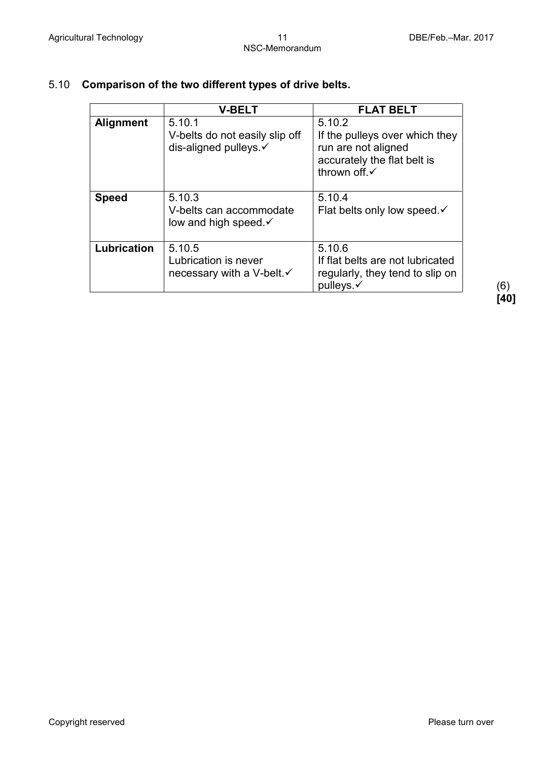|                  | <b>V-BELT</b>                                                           | <b>FLAT BELT</b>                                                                                               |
|------------------|-------------------------------------------------------------------------|----------------------------------------------------------------------------------------------------------------|
| <b>Alignment</b> | 5.10.1<br>V-belts do not easily slip off<br>dis-aligned pulleys. ✓      | 5.10.2<br>If the pulleys over which they<br>run are not aligned<br>accurately the flat belt is<br>thrown off.√ |
| <b>Speed</b>     | 5.10.3<br>V-belts can accommodate<br>low and high speed $\checkmark$    | 5.10.4<br>Flat belts only low speed $\checkmark$                                                               |
| Lubrication      | 5.10.5<br>Lubrication is never<br>necessary with a V-belt. $\checkmark$ | 5.10.6<br>If flat belts are not lubricated<br>regularly, they tend to slip on<br>pulleys.√                     |

# 5.10 **Comparison of the two different types of drive belts.**

**[40]**

Copyright reserved **Please** turn over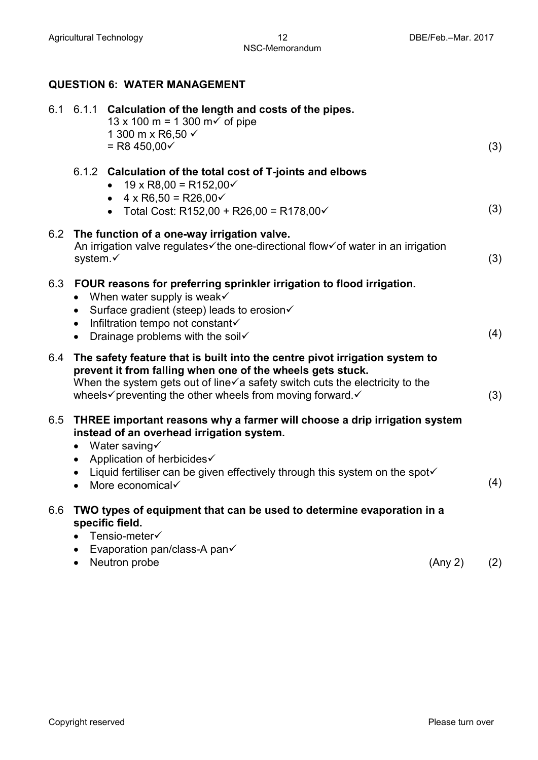# **QUESTION 6: WATER MANAGEMENT**

| 6.1 |                                     | 6.1.1 Calculation of the length and costs of the pipes.<br>13 x 100 m = 1 300 m $\checkmark$ of pipe<br>1 300 m x R6,50 √<br>$=$ R8 450,00 $\checkmark$                                                                                                                              |         | (3) |
|-----|-------------------------------------|--------------------------------------------------------------------------------------------------------------------------------------------------------------------------------------------------------------------------------------------------------------------------------------|---------|-----|
|     |                                     | 6.1.2 Calculation of the total cost of T-joints and elbows<br>$19 \times R8,00 = R152,00 \checkmark$<br>• $4 \times R6,50 = R26,00 \checkmark$<br>• Total Cost: R152,00 + R26,00 = R178,00 $\checkmark$                                                                              |         | (3) |
| 6.2 | system.√                            | The function of a one-way irrigation valve.<br>An irrigation valve regulates ithe one-directional flow of water in an irrigation                                                                                                                                                     |         | (3) |
| 6.3 | $\bullet$<br>$\bullet$              | FOUR reasons for preferring sprinkler irrigation to flood irrigation.<br>When water supply is weak<br>Surface gradient (steep) leads to erosion√<br>$\bullet$ Infiltration tempo not constant $\checkmark$<br>• Drainage problems with the soil $\checkmark$                         |         | (4) |
| 6.4 |                                     | The safety feature that is built into the centre pivot irrigation system to<br>prevent it from falling when one of the wheels gets stuck.<br>When the system gets out of line√a safety switch cuts the electricity to the<br>wheels√preventing the other wheels from moving forward. |         | (3) |
| 6.5 | $\bullet$<br>$\bullet$<br>$\bullet$ | THREE important reasons why a farmer will choose a drip irrigation system<br>instead of an overhead irrigation system.<br>Water saving<br>Application of herbicides√<br>Liquid fertiliser can be given effectively through this system on the spot√<br>More economical               |         | (4) |
| 6.6 | $\bullet$<br>$\bullet$              | TWO types of equipment that can be used to determine evaporation in a<br>specific field.<br>Tensio-meter√<br>Evaporation pan/class-A pan√<br>Neutron probe                                                                                                                           | (Any 2) | (2) |
|     |                                     |                                                                                                                                                                                                                                                                                      |         |     |